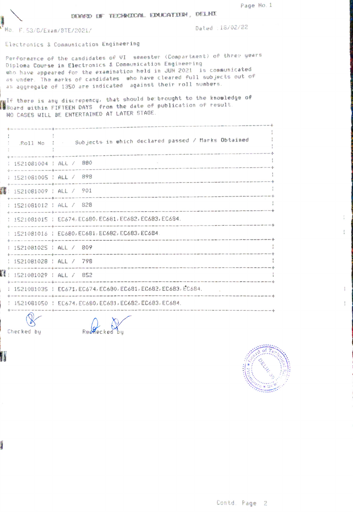Page No. 1

DEMAND DF TECHNICAL EDUCATION, DELHI

No. F.53/6/Exam/BTE/2021/

Checked by

1

前

Dated : 18/02/22

Electronics & Communication Engineering

Performance of the candidates of VI semester (Compartment) of three years Diploma Course in Electronics & Communication Engineering who have appeared for the examination held in JUN 2021 is communicated as under. The marks of candidates who have cleared full subjects out of an aggregate of 1350 are indicated against their roll numbers.

wif there is any discrepency, that should be brought to the knowledge of<br>MBoard within FIFTEEN DAYS from the date of publication of result. NO CASES WILL BE ENTERTAINED AT LATER STAGE.

| Roll No :                             | Subjects in which declared passed / Marks Obtained<br>the play you want you want and you want want want want you want your want want and your concerns want want want and want want |
|---------------------------------------|-------------------------------------------------------------------------------------------------------------------------------------------------------------------------------------|
| 1521081004   ALL / 880                |                                                                                                                                                                                     |
| 1521081005   ALL / 898                |                                                                                                                                                                                     |
| 58: 1521081009 : ALL / 901            |                                                                                                                                                                                     |
| : 1521081012 : ALL / 828              |                                                                                                                                                                                     |
|                                       | : 1521081015 : EC674, EC680, EC681, EC682, EC683, EC684.                                                                                                                            |
|                                       | 1521081016   EC680, EC681, EC682, EC683, EC684.<br>an and are seen and construction and the construction of the construction and the season of the construction of the construction |
| 1521081025   ALL / 809                |                                                                                                                                                                                     |
| 1521081028   ALL / 798                |                                                                                                                                                                                     |
| $\mathbb{I}$ : 1521081029 : ALL / 852 |                                                                                                                                                                                     |
|                                       | : 1521081035 : EC671, EC674, EC680, EC681, EC682, EC683, EC684.                                                                                                                     |
|                                       | 1521081050   EC674, EC680, EC681, EC682, EC683, EC684.                                                                                                                              |
| $\sim$ $\sim$                         | any disc was after than firm book them applicated them them were stag over third take and applicate them with this wire dash must be                                                |

Reco



ţ.

 $\frac{1}{2}$